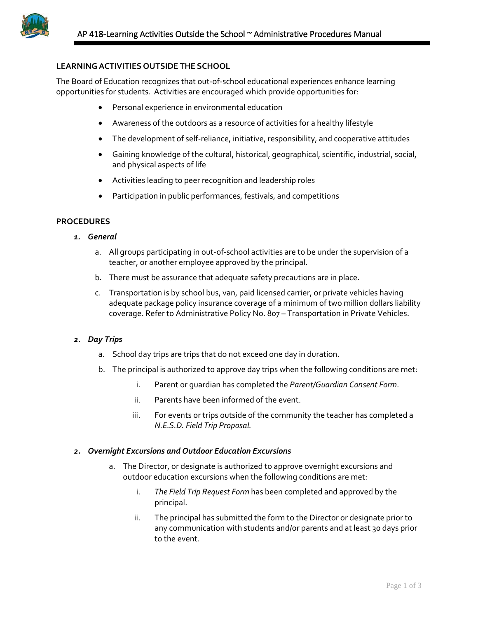

# **LEARNINGACTIVITIES OUTSIDE THE SCHOOL**

The Board of Education recognizes that out-of-school educational experiences enhance learning opportunities for students. Activities are encouraged which provide opportunities for:

- Personal experience in environmental education
- Awareness of the outdoors as a resource of activities for a healthy lifestyle
- The development of self-reliance, initiative, responsibility, and cooperative attitudes
- Gaining knowledge of the cultural, historical, geographical, scientific, industrial, social, and physical aspects of life
- Activities leading to peer recognition and leadership roles
- Participation in public performances, festivals, and competitions

# **PROCEDURES**

- *1. General*
	- a. All groups participating in out-of-school activities are to be under the supervision of a teacher, or another employee approved by the principal.
	- b. There must be assurance that adequate safety precautions are in place.
	- c. Transportation is by school bus, van, paid licensed carrier, or private vehicles having adequate package policy insurance coverage of a minimum of two million dollars liability coverage. Refer to Administrative Policy No. 807 – Transportation in Private Vehicles.

### *2. Day Trips*

- a. School day trips are trips that do not exceed one day in duration.
- b. The principal is authorized to approve day trips when the following conditions are met:
	- i. Parent or guardian has completed the *Parent/Guardian Consent Form*.
	- ii. Parents have been informed of the event.
	- iii. For events or trips outside of the community the teacher has completed a *N.E.S.D. Field Trip Proposal.*

#### *2. Overnight Excursions and Outdoor Education Excursions*

- a. The Director, or designate is authorized to approve overnight excursions and outdoor education excursions when the following conditions are met:
	- i. *The Field Trip Request Form* has been completed and approved by the principal.
	- ii. The principal has submitted the form to the Director or designate prior to any communication with students and/or parents and at least 30 days prior to the event.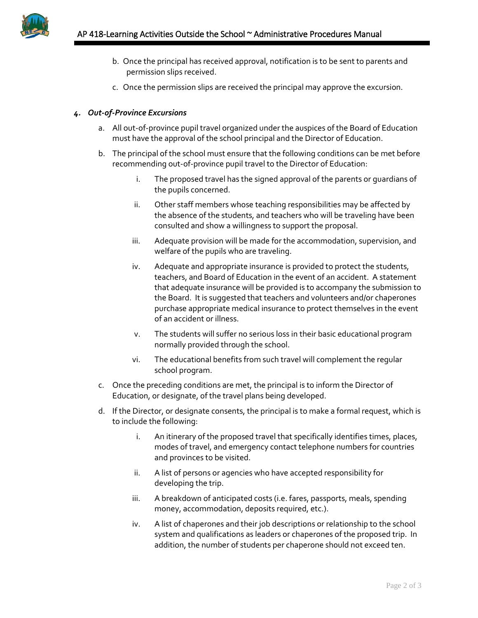

- b. Once the principal has received approval, notification is to be sent to parents and permission slips received.
- c. Once the permission slips are received the principal may approve the excursion.

# *4. Out-of-Province Excursions*

- a. All out-of-province pupil travel organized under the auspices of the Board of Education must have the approval of the school principal and the Director of Education.
- b. The principal of the school must ensure that the following conditions can be met before recommending out-of-province pupil travel to the Director of Education:
	- i. The proposed travel has the signed approval of the parents or guardians of the pupils concerned.
	- ii. Other staff members whose teaching responsibilities may be affected by the absence of the students, and teachers who will be traveling have been consulted and show a willingness to support the proposal.
	- iii. Adequate provision will be made for the accommodation, supervision, and welfare of the pupils who are traveling.
	- iv. Adequate and appropriate insurance is provided to protect the students, teachers, and Board of Education in the event of an accident. A statement that adequate insurance will be provided is to accompany the submission to the Board. It is suggested that teachers and volunteers and/or chaperones purchase appropriate medical insurance to protect themselves in the event of an accident or illness.
	- v. The students will suffer no serious loss in their basic educational program normally provided through the school.
	- vi. The educational benefits from such travel will complement the regular school program.
- c. Once the preceding conditions are met, the principal is to inform the Director of Education, or designate, of the travel plans being developed.
- d. If the Director, or designate consents, the principal is to make a formal request, which is to include the following:
	- i. An itinerary of the proposed travel that specifically identifies times, places, modes of travel, and emergency contact telephone numbers for countries and provinces to be visited.
	- ii. A list of persons or agencies who have accepted responsibility for developing the trip.
	- iii. A breakdown of anticipated costs (i.e. fares, passports, meals, spending money, accommodation, deposits required, etc.).
	- iv. A list of chaperones and their job descriptions or relationship to the school system and qualifications as leaders or chaperones of the proposed trip. In addition, the number of students per chaperone should not exceed ten.